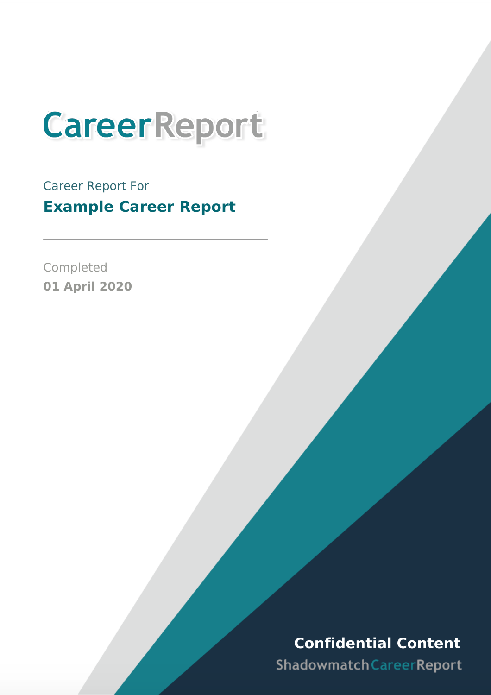

Career Report For **Example Career Report**

Completed **01 April 2020**

# **Confidential Content**

Shadowmatch Career Report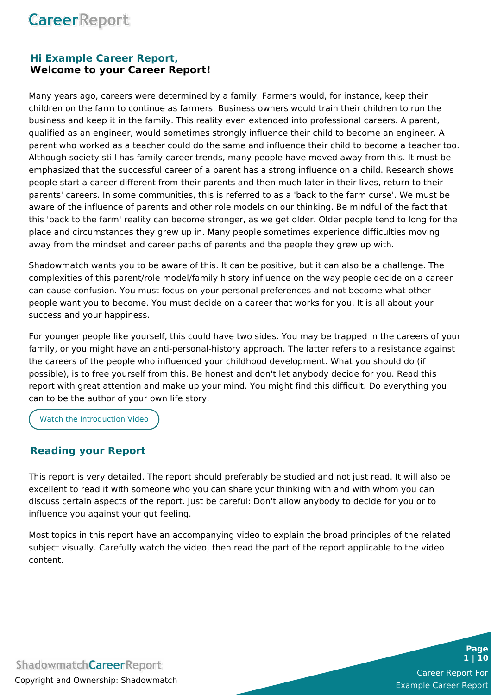### **Hi Example Career Report, Welcome to your Career Report!**

Many years ago, careers were determined by a family. Farmers would, for instance, keep their children on the farm to continue as farmers. Business owners would train their children to run the business and keep it in the family. This reality even extended into professional careers. A parent, qualified as an engineer, would sometimes strongly influence their child to become an engineer. A parent who worked as a teacher could do the same and influence their child to become a teacher too. Although society still has family-career trends, many people have moved away from this. It must be emphasized that the successful career of a parent has a strong influence on a child. Research shows people start a career different from their parents and then much later in their lives, return to their parents' careers. In some communities, this is referred to as a 'back to the farm curse'. We must be aware of the influence of parents and other role models on our thinking. Be mindful of the fact that this 'back to the farm' reality can become stronger, as we get older. Older people tend to long for the place and circumstances they grew up in. Many people sometimes experience difficulties moving away from the mindset and career paths of parents and the people they grew up with.

Shadowmatch wants you to be aware of this. It can be positive, but it can also be a challenge. The complexities of this parent/role model/family history influence on the way people decide on a career can cause confusion. You must focus on your personal preferences and not become what other people want you to become. You must decide on a career that works for you. It is all about your success and your happiness.

For younger people like yourself, this could have two sides. You may be trapped in the careers of your family, or you might have an anti-personal-history approach. The latter refers to a resistance against the careers of the people who influenced your childhood development. What you should do (if possible), is to free yourself from this. Be honest and don't let anybody decide for you. Read this report with great attention and make up your mind. You might find this difficult. Do everything you can to be the author of your own life story.

Watch the [Introduction](https://youtu.be/AmujbcKqI2M) Video

### **Reading your Report**

This report is very detailed. The report should preferably be studied and not just read. It will also be excellent to read it with someone who you can share your thinking with and with whom you can discuss certain aspects of the report. Just be careful: Don't allow anybody to decide for you or to influence you against your gut feeling.

Most topics in this report have an accompanying video to explain the broad principles of the related subject visually. Carefully watch the video, then read the part of the report applicable to the video content.



Career Report For Example Career Report

**Page 1 | 10**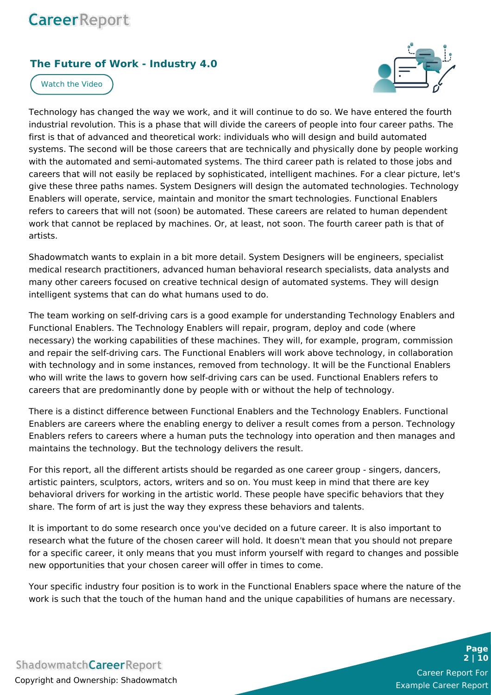### **The Future of Work - Industry 4.0**



[Watch](https://youtu.be/4u4je_AWv7c) the Video

Technology has changed the way we work, and it will continue to do so. We have entered the fourth industrial revolution. This is a phase that will divide the careers of people into four career paths. The first is that of advanced and theoretical work: individuals who will design and build automated systems. The second will be those careers that are technically and physically done by people working with the automated and semi-automated systems. The third career path is related to those jobs and careers that will not easily be replaced by sophisticated, intelligent machines. For a clear picture, let's give these three paths names. System Designers will design the automated technologies. Technology Enablers will operate, service, maintain and monitor the smart technologies. Functional Enablers refers to careers that will not (soon) be automated. These careers are related to human dependent work that cannot be replaced by machines. Or, at least, not soon. The fourth career path is that of artists.

Shadowmatch wants to explain in a bit more detail. System Designers will be engineers, specialist medical research practitioners, advanced human behavioral research specialists, data analysts and many other careers focused on creative technical design of automated systems. They will design intelligent systems that can do what humans used to do.

The team working on self-driving cars is a good example for understanding Technology Enablers and Functional Enablers. The Technology Enablers will repair, program, deploy and code (where necessary) the working capabilities of these machines. They will, for example, program, commission and repair the self-driving cars. The Functional Enablers will work above technology, in collaboration with technology and in some instances, removed from technology. It will be the Functional Enablers who will write the laws to govern how self-driving cars can be used. Functional Enablers refers to careers that are predominantly done by people with or without the help of technology.

There is a distinct difference between Functional Enablers and the Technology Enablers. Functional Enablers are careers where the enabling energy to deliver a result comes from a person. Technology Enablers refers to careers where a human puts the technology into operation and then manages and maintains the technology. But the technology delivers the result.

For this report, all the different artists should be regarded as one career group - singers, dancers, artistic painters, sculptors, actors, writers and so on. You must keep in mind that there are key behavioral drivers for working in the artistic world. These people have specific behaviors that they share. The form of art is just the way they express these behaviors and talents.

It is important to do some research once you've decided on a future career. It is also important to research what the future of the chosen career will hold. It doesn't mean that you should not prepare for a specific career, it only means that you must inform yourself with regard to changes and possible new opportunities that your chosen career will offer in times to come.

Your specific industry four position is to work in the Functional Enablers space where the nature of the work is such that the touch of the human hand and the unique capabilities of humans are necessary.

**ShadowmatchCareerReport** Copyright and Ownership: Shadowmatch

Career Report For Example Career Report

**Page 2 | 10**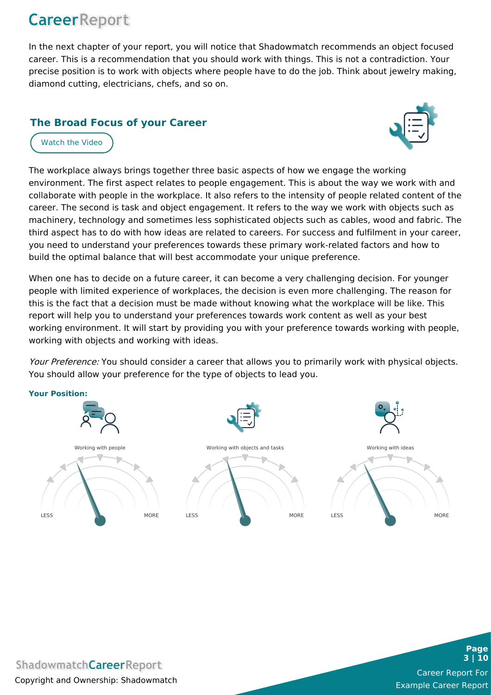In the next chapter of your report, you will notice that Shadowmatch recommends an object focused career. This is a recommendation that you should work with things. This is not a contradiction. Your precise position is to work with objects where people have to do the job. Think about jewelry making, diamond cutting, electricians, chefs, and so on.

### **The Broad Focus of your Career**

[Watch](https://youtu.be/0YTgYAJ8b9Y) the Video



The workplace always brings together three basic aspects of how we engage the working environment. The first aspect relates to people engagement. This is about the way we work with and collaborate with people in the workplace. It also refers to the intensity of people related content of the career. The second is task and object engagement. It refers to the way we work with objects such as machinery, technology and sometimes less sophisticated objects such as cables, wood and fabric. The third aspect has to do with how ideas are related to careers. For success and fulfilment in your career, you need to understand your preferences towards these primary work-related factors and how to build the optimal balance that will best accommodate your unique preference.

When one has to decide on a future career, it can become a very challenging decision. For younger people with limited experience of workplaces, the decision is even more challenging. The reason for this is the fact that a decision must be made without knowing what the workplace will be like. This report will help you to understand your preferences towards work content as well as your best working environment. It will start by providing you with your preference towards working with people, working with objects and working with ideas.

Your Preference: You should consider a career that allows you to primarily work with physical objects. You should allow your preference for the type of objects to lead you.



**ShadowmatchCareerReport** Copyright and Ownership: Shadowmatch



**Page 3 | 10**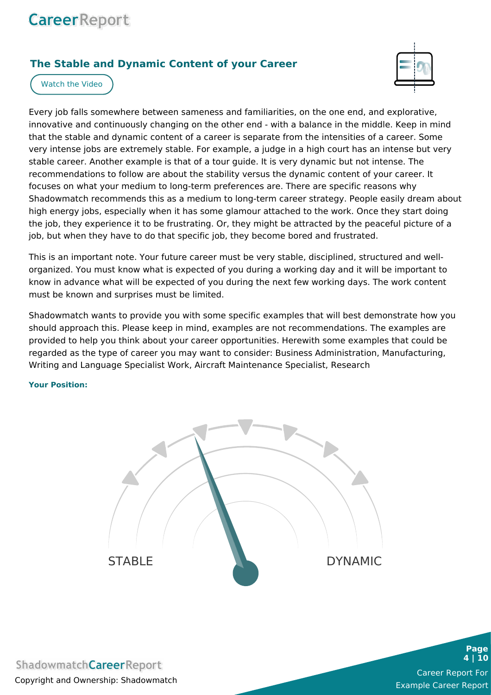### **The Stable and Dynamic Content of your Career**



[Watch](https://youtu.be/gVjoTgSRIGk) the Video

Every job falls somewhere between sameness and familiarities, on the one end, and explorative, innovative and continuously changing on the other end - with a balance in the middle. Keep in mind that the stable and dynamic content of a career is separate from the intensities of a career. Some very intense jobs are extremely stable. For example, a judge in a high court has an intense but very stable career. Another example is that of a tour guide. It is very dynamic but not intense. The recommendations to follow are about the stability versus the dynamic content of your career. It focuses on what your medium to long-term preferences are. There are specific reasons why Shadowmatch recommends this as a medium to long-term career strategy. People easily dream about high energy jobs, especially when it has some glamour attached to the work. Once they start doing the job, they experience it to be frustrating. Or, they might be attracted by the peaceful picture of a job, but when they have to do that specific job, they become bored and frustrated.

This is an important note. Your future career must be very stable, disciplined, structured and wellorganized. You must know what is expected of you during a working day and it will be important to know in advance what will be expected of you during the next few working days. The work content must be known and surprises must be limited.

Shadowmatch wants to provide you with some specific examples that will best demonstrate how you should approach this. Please keep in mind, examples are not recommendations. The examples are provided to help you think about your career opportunities. Herewith some examples that could be regarded as the type of career you may want to consider: Business Administration, Manufacturing, Writing and Language Specialist Work, Aircraft Maintenance Specialist, Research

**Your Position:**



**Page 4 | 10**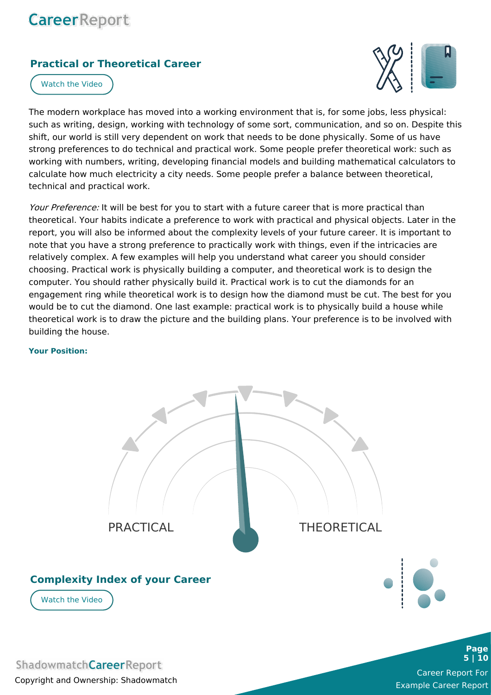### **Practical or Theoretical Career**



[Watch](https://youtu.be/cFaipydv2Ko) the Video

The modern workplace has moved into a working environment that is, for some jobs, less physical: such as writing, design, working with technology of some sort, communication, and so on. Despite this shift, our world is still very dependent on work that needs to be done physically. Some of us have strong preferences to do technical and practical work. Some people prefer theoretical work: such as working with numbers, writing, developing financial models and building mathematical calculators to calculate how much electricity a city needs. Some people prefer a balance between theoretical, technical and practical work.

Your Preference: It will be best for you to start with a future career that is more practical than theoretical. Your habits indicate a preference to work with practical and physical objects. Later in the report, you will also be informed about the complexity levels of your future career. It is important to note that you have a strong preference to practically work with things, even if the intricacies are relatively complex. A few examples will help you understand what career you should consider choosing. Practical work is physically building a computer, and theoretical work is to design the computer. You should rather physically build it. Practical work is to cut the diamonds for an engagement ring while theoretical work is to design how the diamond must be cut. The best for you would be to cut the diamond. One last example: practical work is to physically build a house while theoretical work is to draw the picture and the building plans. Your preference is to be involved with building the house.

#### **Your Position:**



**ShadowmatchCareerReport** Copyright and Ownership: Shadowmatch

Career Report For Example Career Report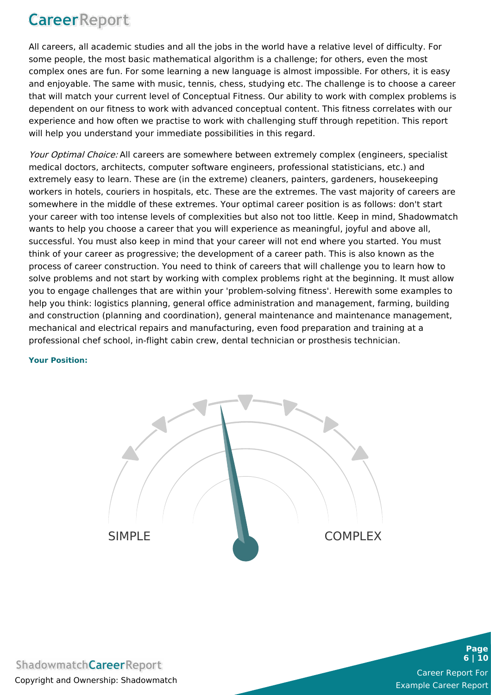All careers, all academic studies and all the jobs in the world have a relative level of difficulty. For some people, the most basic mathematical algorithm is a challenge; for others, even the most complex ones are fun. For some learning a new language is almost impossible. For others, it is easy and enjoyable. The same with music, tennis, chess, studying etc. The challenge is to choose a career that will match your current level of Conceptual Fitness. Our ability to work with complex problems is dependent on our fitness to work with advanced conceptual content. This fitness correlates with our experience and how often we practise to work with challenging stuff through repetition. This report will help you understand your immediate possibilities in this regard.

Your Optimal Choice: All careers are somewhere between extremely complex (engineers, specialist medical doctors, architects, computer software engineers, professional statisticians, etc.) and extremely easy to learn. These are (in the extreme) cleaners, painters, gardeners, housekeeping workers in hotels, couriers in hospitals, etc. These are the extremes. The vast majority of careers are somewhere in the middle of these extremes. Your optimal career position is as follows: don't start your career with too intense levels of complexities but also not too little. Keep in mind, Shadowmatch wants to help you choose a career that you will experience as meaningful, joyful and above all, successful. You must also keep in mind that your career will not end where you started. You must think of your career as progressive; the development of a career path. This is also known as the process of career construction. You need to think of careers that will challenge you to learn how to solve problems and not start by working with complex problems right at the beginning. It must allow you to engage challenges that are within your 'problem-solving fitness'. Herewith some examples to help you think: logistics planning, general office administration and management, farming, building and construction (planning and coordination), general maintenance and maintenance management, mechanical and electrical repairs and manufacturing, even food preparation and training at a professional chef school, in-flight cabin crew, dental technician or prosthesis technician.

#### **Your Position:**



Career Report For Example Career Report

**Page 6 | 10**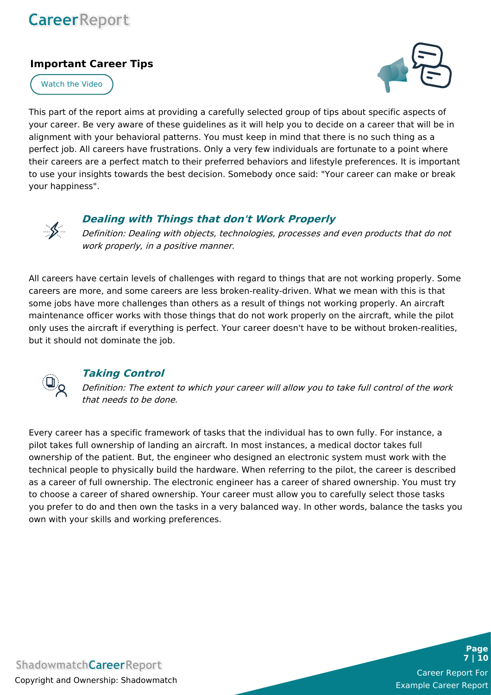### **Important Career Tips**



[Watch](https://youtu.be/EdemFYj4GGA) the Video

This part of the report aims at providing a carefully selected group of tips about specific aspects of your career. Be very aware of these guidelines as it will help you to decide on a career that will be in alignment with your behavioral patterns. You must keep in mind that there is no such thing as a perfect job. All careers have frustrations. Only a very few individuals are fortunate to a point where their careers are a perfect match to their preferred behaviors and lifestyle preferences. It is important to use your insights towards the best decision. Somebody once said: "Your career can make or break your happiness".



#### **Dealing with Things that don't Work Properly**

Definition: Dealing with objects, technologies, processes and even products that do not work properly, in <sup>a</sup> positive manner.

All careers have certain levels of challenges with regard to things that are not working properly. Some careers are more, and some careers are less broken-reality-driven. What we mean with this is that some jobs have more challenges than others as a result of things not working properly. An aircraft maintenance officer works with those things that do not work properly on the aircraft, while the pilot only uses the aircraft if everything is perfect. Your career doesn't have to be without broken-realities, but it should not dominate the job.



### **Taking Control**

Definition: The extent to which your career will allow you to take full control of the work that needs to be done.

Every career has a specific framework of tasks that the individual has to own fully. For instance, a pilot takes full ownership of landing an aircraft. In most instances, a medical doctor takes full ownership of the patient. But, the engineer who designed an electronic system must work with the technical people to physically build the hardware. When referring to the pilot, the career is described as a career of full ownership. The electronic engineer has a career of shared ownership. You must try to choose a career of shared ownership. Your career must allow you to carefully select those tasks you prefer to do and then own the tasks in a very balanced way. In other words, balance the tasks you own with your skills and working preferences.

**ShadowmatchCareerReport** Copyright and Ownership: Shadowmatch

Career Report For Example Career Report

**Page 7 | 10**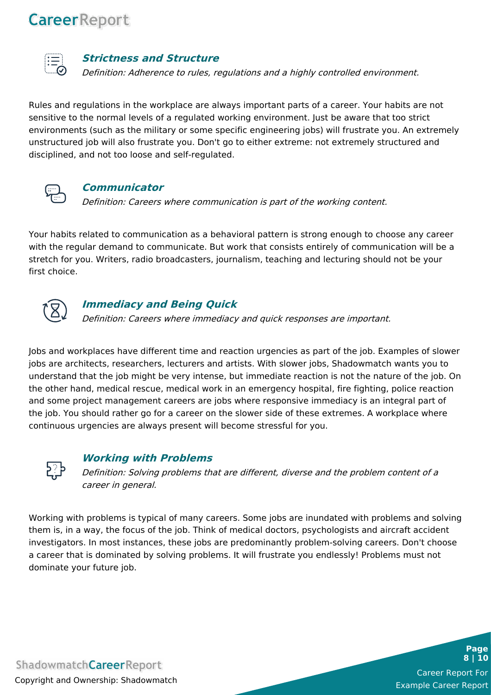

#### **Strictness and Structure**

Definition: Adherence to rules, regulations and <sup>a</sup> highly controlled environment.

Rules and regulations in the workplace are always important parts of a career. Your habits are not sensitive to the normal levels of a regulated working environment. Just be aware that too strict environments (such as the military or some specific engineering jobs) will frustrate you. An extremely unstructured job will also frustrate you. Don't go to either extreme: not extremely structured and disciplined, and not too loose and self-regulated.



#### **Communicator**

Definition: Careers where communication is part of the working content.

Your habits related to communication as a behavioral pattern is strong enough to choose any career with the regular demand to communicate. But work that consists entirely of communication will be a stretch for you. Writers, radio broadcasters, journalism, teaching and lecturing should not be your first choice.



### **Immediacy and Being Quick**

Definition: Careers where immediacy and quick responses are important.

Jobs and workplaces have different time and reaction urgencies as part of the job. Examples of slower jobs are architects, researchers, lecturers and artists. With slower jobs, Shadowmatch wants you to understand that the job might be very intense, but immediate reaction is not the nature of the job. On the other hand, medical rescue, medical work in an emergency hospital, fire fighting, police reaction and some project management careers are jobs where responsive immediacy is an integral part of the job. You should rather go for a career on the slower side of these extremes. A workplace where continuous urgencies are always present will become stressful for you.



### **Working with Problems**

Definition: Solving problems that are different, diverse and the problem content of <sup>a</sup> career in general.

Working with problems is typical of many careers. Some jobs are inundated with problems and solving them is, in a way, the focus of the job. Think of medical doctors, psychologists and aircraft accident investigators. In most instances, these jobs are predominantly problem-solving careers. Don't choose a career that is dominated by solving problems. It will frustrate you endlessly! Problems must not dominate your future job.

**ShadowmatchCareerReport** Copyright and Ownership: Shadowmatch

Career Report For Example Career Report

**Page 8 | 10**